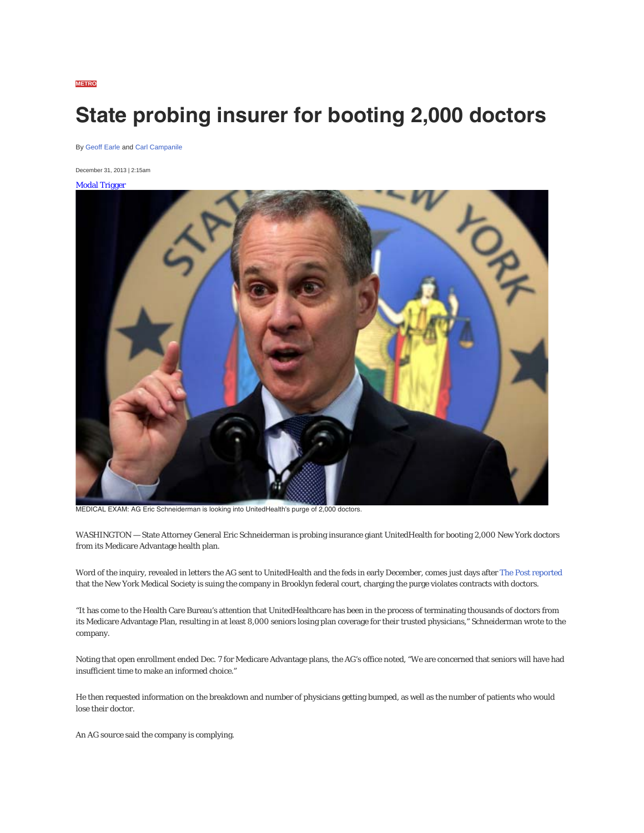## **State probing insurer for booting 2,000 doctors**

By Geoff Earle and Carl Campanile

December 31, 2013 | 2:15am

Modal Trigger



MEDICAL EXAM: AG Eric Schneiderman is looking into UnitedHealth's purge of 2,000 doctors.

WASHINGTON — State Attorney General Eric Schneiderman is probing insurance giant UnitedHealth for booting 2,000 New York doctors from its Medicare Advantage health plan.

Word of the inquiry, revealed in letters the AG sent to UnitedHealth and the feds in early December, comes just days after The Post reported that the New York Medical Society is suing the company in Brooklyn federal court, charging the purge violates contracts with doctors.

"It has come to the Health Care Bureau's attention that UnitedHealthcare has been in the process of terminating thousands of doctors from its Medicare Advantage Plan, resulting in at least 8,000 seniors losing plan coverage for their trusted physicians," Schneiderman wrote to the company.

Noting that open enrollment ended Dec. 7 for Medicare Advantage plans, the AG's office noted, "We are concerned that seniors will have had insufficient time to make an informed choice."

He then requested information on the breakdown and number of physicians getting bumped, as well as the number of patients who would lose their doctor.

An AG source said the company is complying.

**METRO**